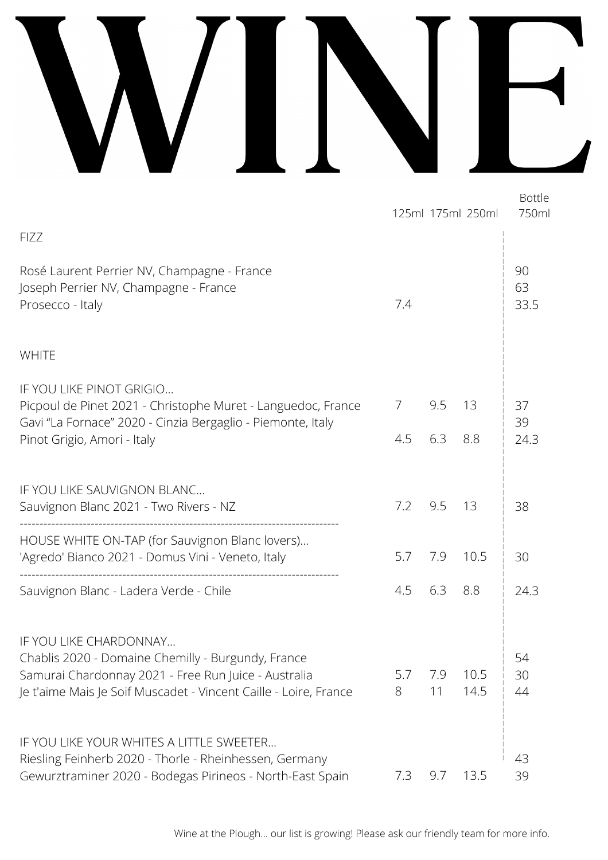## W

|                                                                                                                                                                                                          |          |           | 125ml 175ml 250ml | <b>Bottle</b><br>750ml |
|----------------------------------------------------------------------------------------------------------------------------------------------------------------------------------------------------------|----------|-----------|-------------------|------------------------|
| <b>FIZZ</b>                                                                                                                                                                                              |          |           |                   |                        |
| Rosé Laurent Perrier NV, Champagne - France<br>Joseph Perrier NV, Champagne - France<br>Prosecco - Italy                                                                                                 | 7.4      |           |                   | 90<br>63<br>33.5       |
| <b>WHITE</b>                                                                                                                                                                                             |          |           |                   |                        |
| IF YOU LIKE PINOT GRIGIO<br>Picpoul de Pinet 2021 - Christophe Muret - Languedoc, France<br>Gavi "La Fornace" 2020 - Cinzia Bergaglio - Piemonte, Italy                                                  | 7        | 9.5       | 13                | 37<br>39               |
| Pinot Grigio, Amori - Italy                                                                                                                                                                              | 4.5      | 6.3       | 8.8               | 24.3                   |
| IF YOU LIKE SAUVIGNON BLANC<br>Sauvignon Blanc 2021 - Two Rivers - NZ                                                                                                                                    | 7.2      | 9.5       | 13                | 38                     |
| HOUSE WHITE ON-TAP (for Sauvignon Blanc lovers)<br>'Agredo' Bianco 2021 - Domus Vini - Veneto, Italy                                                                                                     | 5.7      | 7.9       | 10.5              | 30                     |
| Sauvignon Blanc - Ladera Verde - Chile                                                                                                                                                                   | 4.5      | 6.3       | 8.8               | 24.3                   |
| IF YOU LIKE CHARDONNAY<br>Chablis 2020 - Domaine Chemilly - Burgundy, France<br>Samurai Chardonnay 2021 - Free Run Juice - Australia<br>Je t'aime Mais Je Soif Muscadet - Vincent Caille - Loire, France | 5.7<br>8 | 7.9<br>11 | 10.5<br>14.5      | 54<br>30<br>44         |
| IF YOU LIKE YOUR WHITES A LITTLE SWEETER<br>Riesling Feinherb 2020 - Thorle - Rheinhessen, Germany<br>Gewurztraminer 2020 - Bodegas Pirineos - North-East Spain                                          | 7.3      | 9.7       | 13.5              | 43<br>39               |